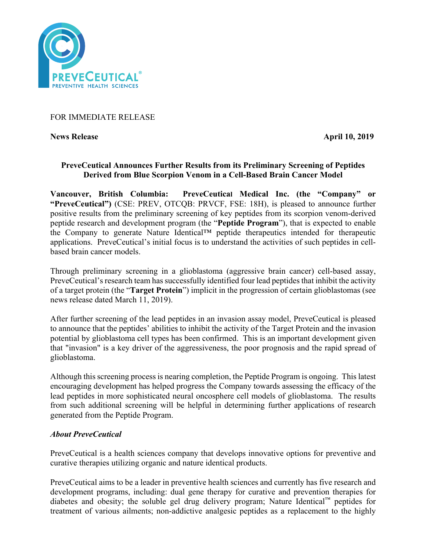

## FOR IMMEDIATE RELEASE

**News Release** April 10, 2019

# **PreveCeutical Announces Further Results from its Preliminary Screening of Peptides Derived from Blue Scorpion Venom in a Cell-Based Brain Cancer Model**

**Vancouver, British Columbia: PreveCeutical Medical Inc. (the "Company" or "PreveCeutical")** (CSE: PREV, OTCQB: PRVCF, FSE: 18H), is pleased to announce further positive results from the preliminary screening of key peptides from its scorpion venom-derived peptide research and development program (the "**Peptide Program**"), that is expected to enable the Company to generate Nature Identical™ peptide therapeutics intended for therapeutic applications. PreveCeutical's initial focus is to understand the activities of such peptides in cellbased brain cancer models.

Through preliminary screening in a glioblastoma (aggressive brain cancer) cell-based assay, PreveCeutical's research team has successfully identified four lead peptides that inhibit the activity of a target protein (the "**Target Protein**") implicit in the progression of certain glioblastomas (see news release dated March 11, 2019).

After further screening of the lead peptides in an invasion assay model, PreveCeutical is pleased to announce that the peptides' abilities to inhibit the activity of the Target Protein and the invasion potential by glioblastoma cell types has been confirmed. This is an important development given that "invasion" is a key driver of the aggressiveness, the poor prognosis and the rapid spread of glioblastoma.

Although this screening process is nearing completion, the Peptide Program is ongoing. This latest encouraging development has helped progress the Company towards assessing the efficacy of the lead peptides in more sophisticated neural oncosphere cell models of glioblastoma. The results from such additional screening will be helpful in determining further applications of research generated from the Peptide Program.

## *About PreveCeutical*

PreveCeutical is a health sciences company that develops innovative options for preventive and curative therapies utilizing organic and nature identical products.

PreveCeutical aims to be a leader in preventive health sciences and currently has five research and development programs, including: dual gene therapy for curative and prevention therapies for diabetes and obesity; the soluble gel drug delivery program; Nature Identical™ peptides for treatment of various ailments; non-addictive analgesic peptides as a replacement to the highly